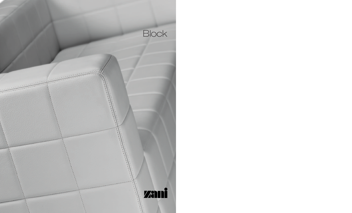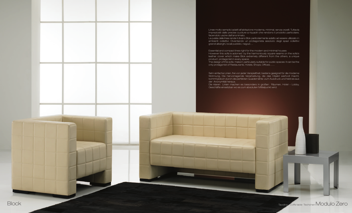Linee molto semplici adatti all'abitazione moderna, minimal, senza orpelli. Tuttavia impreziositi dalle precise cuciture a riquadri che rendono il prodotto particolare,

La pulizia delle linee rende il divano Blok particolarmente adatto ad essere utilizzato in ambienti collettivi. Diventando un protagonista assoluto degli spazi collettivi

However this sofa is adorned by the harmoniously square seams on the sofa's leather cover which make Blok extremely different from the others, a unique

Sehr einfache Linien, frei von jeder Verspieltheit, bestens geeignet für die moderne Wohnung. Die hervorragende Verarbeitung, die das Objekt wertvoll macht, kommt jedoch durch die perfekten Quadernähte zum Ausdruck und hebt es aus



Die klaren Linien machen es besonders in großen Räumen, Hotel – Lobby, Geschäfte einsetzbar wo es zum absoluten Mittelpunkt wird.

Essential and compact lines right for the modern and minimal houses

The design of this sofa make it particularly suitable for public spaces: it can be the only protagonist of Restaurants, Hotels, Shops, Offices……